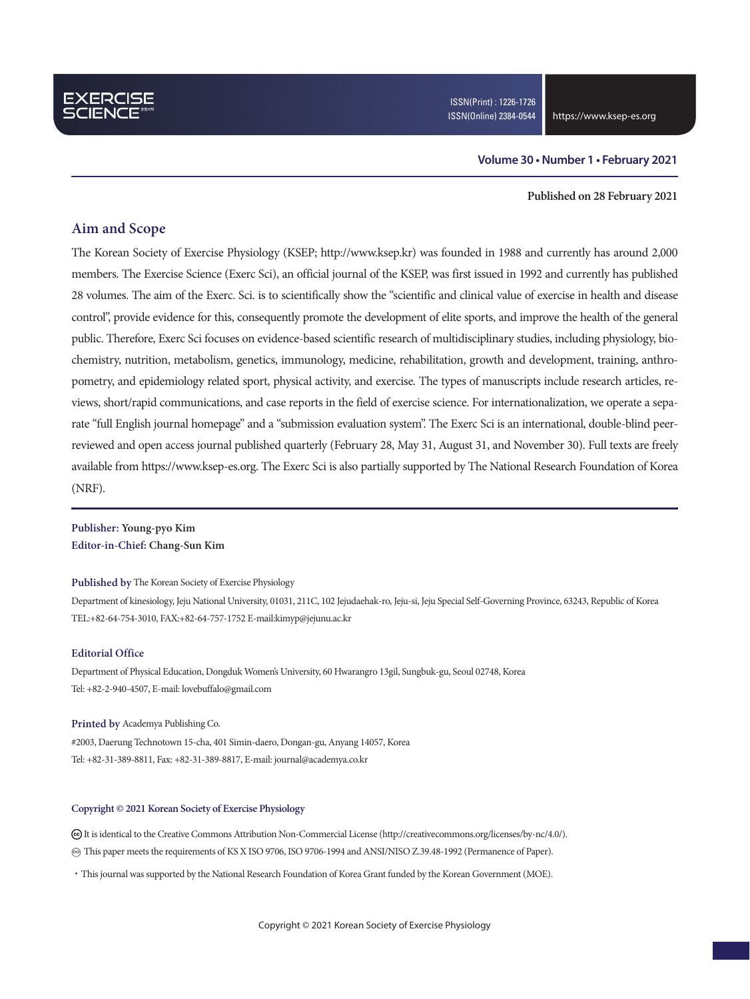### **Volume 30 • Number 1 • February 2021**

#### **Published on 28 February 2021**

### **Aim and Scope**

The Korean Society of Exercise Physiology (KSEP; http://www.ksep.kr) was founded in 1988 and currently has around 2,000 members. The Exercise Science (Exerc Sci), an official journal of the KSEP, was first issued in 1992 and currently has published 28 volumes. The aim of the Exerc. Sci. is to scientifically show the "scientific and clinical value of exercise in health and disease control", provide evidence for this, consequently promote the development of elite sports, and improve the health of the general public. Therefore, Exerc Sci focuses on evidence-based scientific research of multidisciplinary studies, including physiology, biochemistry, nutrition, metabolism, genetics, immunology, medicine, rehabilitation, growth and development, training, anthropometry, and epidemiology related sport, physical activity, and exercise. The types of manuscripts include research articles, reviews, short/rapid communications, and case reports in the field of exercise science. For internationalization, we operate a separate "full English journal homepage" and a "submission evaluation system". The Exerc Sci is an international, double-blind peerreviewed and open access journal published quarterly (February 28, May 31, August 31, and November 30). Full texts are freely available from https://www.ksep-es.org. The Exerc Sci is also partially supported by The National Research Foundation of Korea (NRF).

**Publisher: Young-pyo Kim Editor-in-Chief: Chang-Sun Kim**

#### **Published by** The Korean Society of Exercise Physiology

Department of kinesiology, Jeju National University, 01031, 211C, 102 Jejudaehak-ro, Jeju-si, Jeju Special Self-Governing Province, 63243, Republic of Korea TEL:+82-64-754-3010, FAX:+82-64-757-1752 E-mail:kimyp@jejunu.ac.kr

### **Editorial Office**

Department of Physical Education, Dongduk Women's University, 60 Hwarangro 13gil, Sungbuk-gu, Seoul 02748, Korea Tel: +82-2-940-4507, E-mail: lovebuffalo@gmail.com

#### **Printed by** Academya Publishing Co.

#2003, Daerung Technotown 15-cha, 401 Simin-daero, Dongan-gu, Anyang 14057, Korea Tel: +82-31-389-8811, Fax: +82-31-389-8817, E-mail: journal@academya.co.kr

### **Copyright © 2021 Korean Society of Exercise Physiology**

 It is identical to the Creative Commons Attribution Non-Commercial License (http://creativecommons.org/licenses/by-nc/4.0/). ∞ This paper meets the requirements of KS X ISO 9706, ISO 9706-1994 and ANSI/NISO Z.39.48-1992 (Permanence of Paper).

·This journal was supported by the National Research Foundation of Korea Grant funded by the Korean Government (MOE).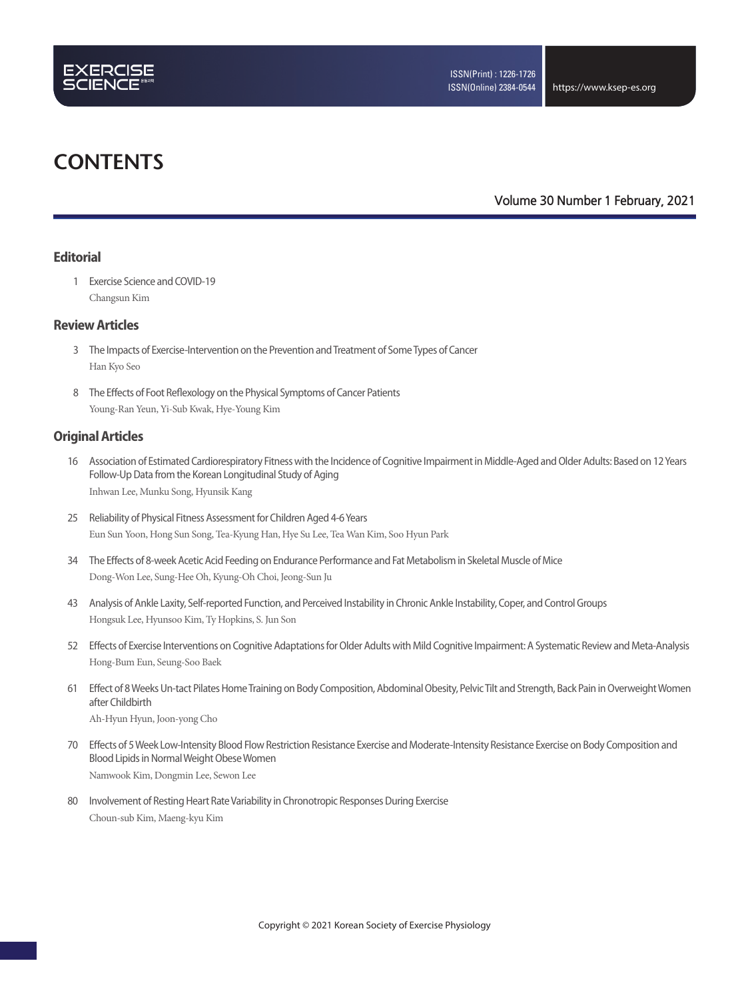

# **CONTENTS**

**Volume 30 Number 1 February, 2021**

### **Editorial**

 1 Exercise Science and COVID-19 Changsun Kim

### **Review Articles**

- 3 The Impacts of Exercise-Intervention on the Prevention and Treatment of Some Types of Cancer Han Kyo Seo
- 8 The Effects of Foot Reflexology on the Physical Symptoms of Cancer Patients Young-Ran Yeun, Yi-Sub Kwak, Hye-Young Kim

### **Original Articles**

- 16 Association of Estimated Cardiorespiratory Fitness with the Incidence of Cognitive Impairment in Middle-Aged and Older Adults: Based on 12 Years Follow-Up Data from the Korean Longitudinal Study of Aging Inhwan Lee, Munku Song, Hyunsik Kang
- 25 Reliability of Physical Fitness Assessment for Children Aged 4-6 Years Eun Sun Yoon, Hong Sun Song, Tea-Kyung Han, Hye Su Lee, Tea Wan Kim, Soo Hyun Park
- 34 The Effects of 8-week Acetic Acid Feeding on Endurance Performance and Fat Metabolism in Skeletal Muscle of Mice Dong-Won Lee, Sung-Hee Oh, Kyung-Oh Choi, Jeong-Sun Ju
- 43 Analysis of Ankle Laxity, Self-reported Function, and Perceived Instability in Chronic Ankle Instability, Coper, and Control Groups Hongsuk Lee, Hyunsoo Kim, Ty Hopkins, S. Jun Son
- 52 Effects of Exercise Interventions on Cognitive Adaptations for Older Adults with Mild Cognitive Impairment: A Systematic Review and Meta-Analysis Hong-Bum Eun, Seung-Soo Baek
- 61 Effect of 8 Weeks Un-tact Pilates Home Training on Body Composition, Abdominal Obesity, Pelvic Tilt and Strength, Back Pain in Overweight Women after Childbirth

Ah-Hyun Hyun, Joon-yong Cho

- 70 Effects of 5 Week Low-Intensity Blood Flow Restriction Resistance Exercise and Moderate-Intensity Resistance Exercise on Body Composition and Blood Lipids in Normal Weight Obese Women Namwook Kim, Dongmin Lee, Sewon Lee
- 80 Involvement of Resting Heart Rate Variability in Chronotropic Responses During Exercise Choun-sub Kim, Maeng-kyu Kim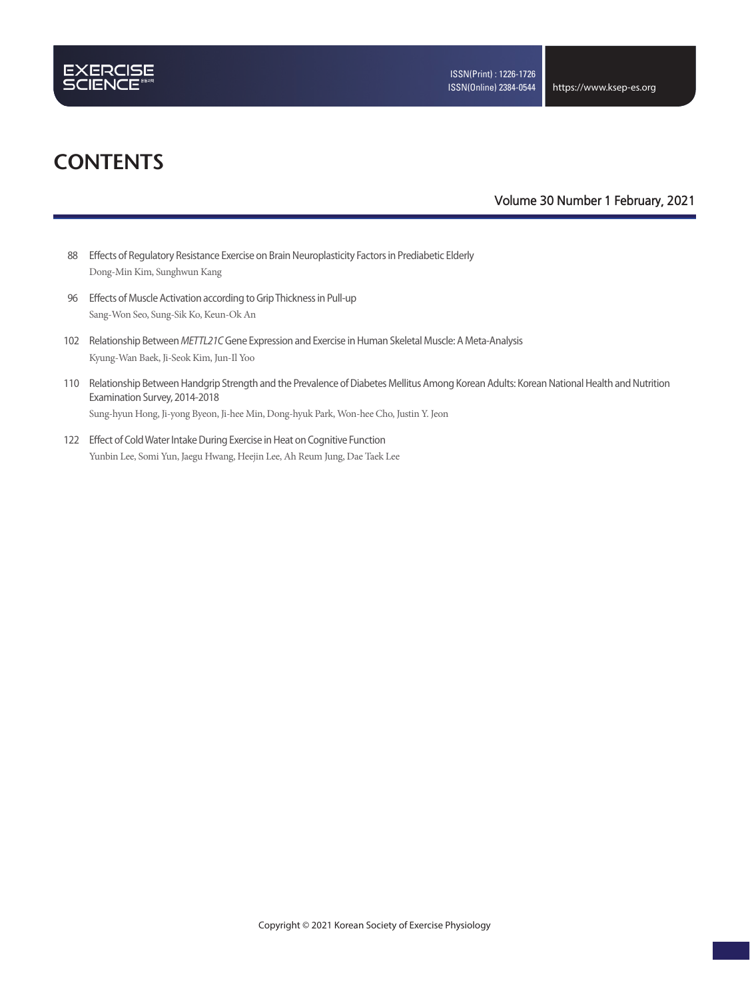

# **CONTENTS**

### **Volume 30 Number 1 February, 2021**

- 88 Effects of Regulatory Resistance Exercise on Brain Neuroplasticity Factors in Prediabetic Elderly Dong-Min Kim, Sunghwun Kang
- 96 Effects of Muscle Activation according to Grip Thickness in Pull-up Sang-Won Seo, Sung-Sik Ko, Keun-Ok An
- 102 Relationship Between *METTL21C* Gene Expression and Exercise in Human Skeletal Muscle: A Meta-Analysis Kyung-Wan Baek, Ji-Seok Kim, Jun-Il Yoo
- 110 Relationship Between Handgrip Strength and the Prevalence of Diabetes Mellitus Among Korean Adults: Korean National Health and Nutrition Examination Survey, 2014-2018

Sung-hyun Hong, Ji-yong Byeon, Ji-hee Min, Dong-hyuk Park, Won-hee Cho, Justin Y. Jeon

122 Effect of Cold Water Intake During Exercise in Heat on Cognitive Function Yunbin Lee, Somi Yun, Jaegu Hwang, Heejin Lee, Ah Reum Jung, Dae Taek Lee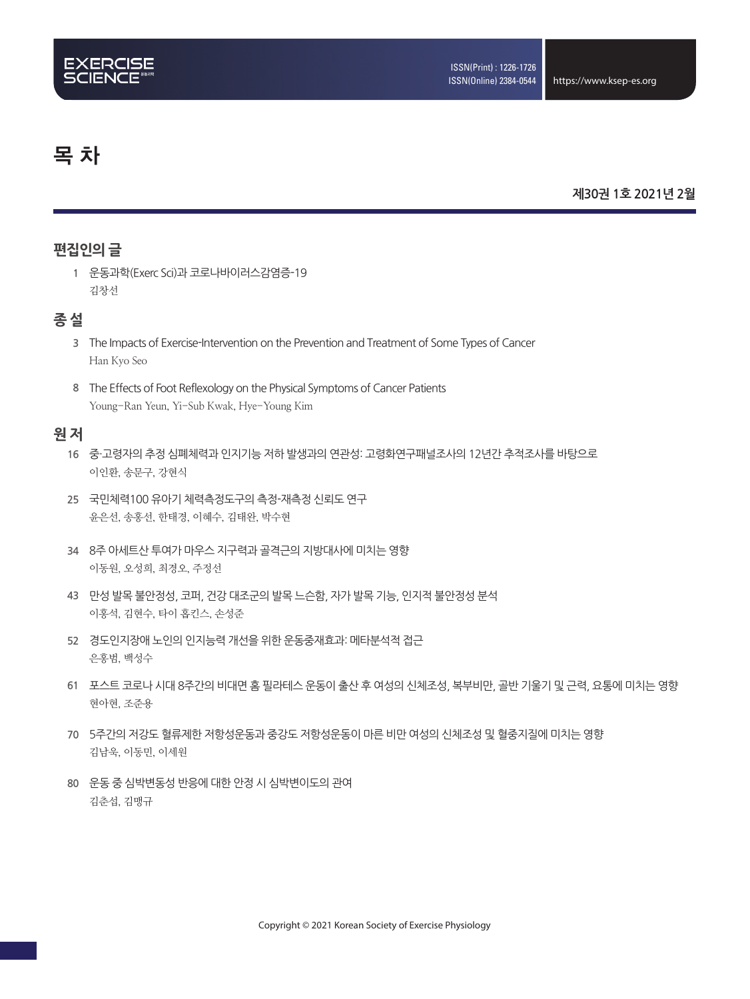# 목 차

### **제30권 1호 2021년 2월**

# **편집인의 글**

**1** 운동과학(Exerc Sci)과 코로나바이러스감염증-19 김창선

## **종 설**

- **3** The Impacts of Exercise-Intervention on the Prevention and Treatment of Some Types of Cancer Han Kyo Seo
- **8** The Effects of Foot Reflexology on the Physical Symptoms of Cancer Patients Young-Ran Yeun, Yi-Sub Kwak, Hye-Young Kim

### **원 저**

- **16** 중·고령자의 추정 심폐체력과 인지기능 저하 발생과의 연관성: 고령화연구패널조사의 12년간 추적조사를 바탕으로 이인환, 송문구, 강현식
- **25** 국민체력100 유아기 체력측정도구의 측정-재측정 신뢰도 연구 윤은선, 송홍선, 한태경, 이혜수, 김태완, 박수현
- **34** 8주 아세트산 투여가 마우스 지구력과 골격근의 지방대사에 미치는 영향 이동원, 오성희, 최경오, 주정선
- **43** 만성 발목 불안정성, 코퍼, 건강 대조군의 발목 느슨함, 자가 발목 기능, 인지적 불안정성 분석 이홍석, 김현수, 타이 홉킨스, 손성준
- **52** 경도인지장애 노인의 인지능력 개선을 위한 운동중재효과: 메타분석적 접근 은홍범, 백성수
- **61** 포스트 코로나 시대 8주간의 비대면 홈 필라테스 운동이 출산 후 여성의 신체조성, 복부비만, 골반 기울기 및 근력, 요통에 미치는 영향 현아현, 조준용
- **70** 5주간의 저강도 혈류제한 저항성운동과 중강도 저항성운동이 마른 비만 여성의 신체조성 및 혈중지질에 미치는 영향 김남욱, 이동민, 이세원
- **80** 운동 중 심박변동성 반응에 대한 안정 시 심박변이도의 관여 김춘섭, 김맹규